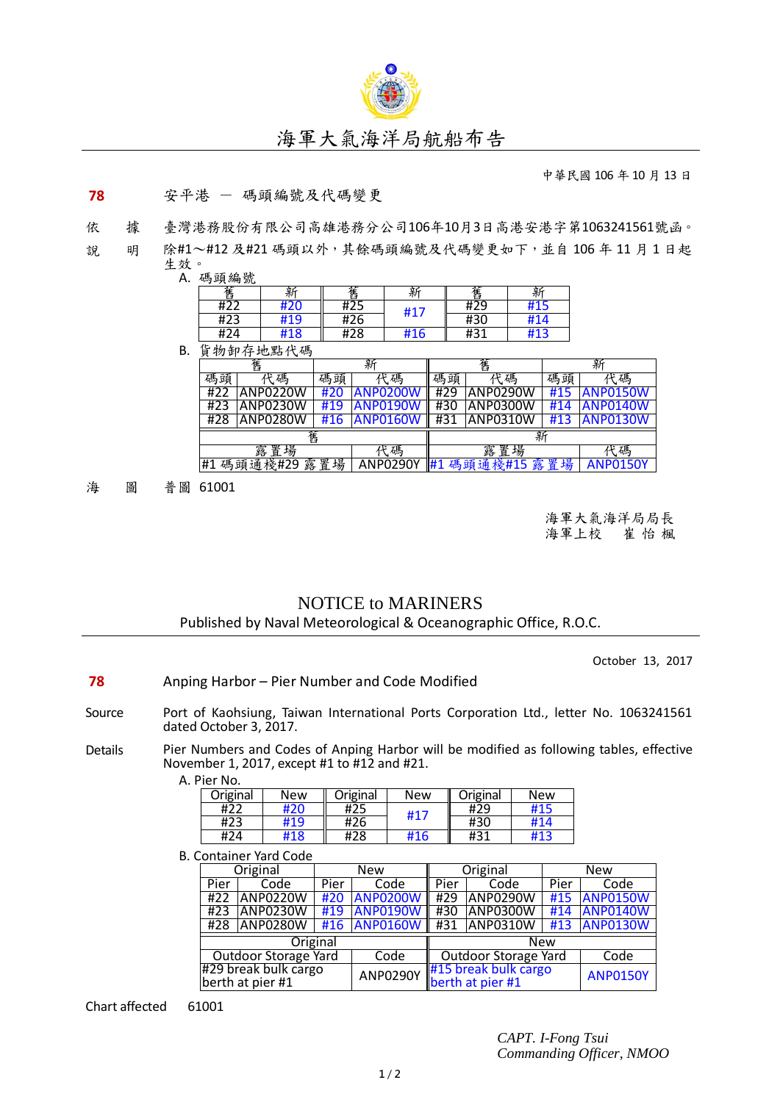

## 海軍大氣海洋局航船布告

中華民國 106 年 10 月 13 日

## **78** 安平港 - 碼頭編號及代碼變更

依 據 臺灣港務股份有限公司高雄港務分公司106年10月3日高港安港字第1063241561號函。

說 明 除#1~#12及#21碼頭以外,其餘碼頭編號及代碼變更如下,並自106年11月1日起 生效。



|                                          | 舊        | 新   |                        | 舊       |          | 新               |                 |
|------------------------------------------|----------|-----|------------------------|---------|----------|-----------------|-----------------|
| 碼頭                                       | 碼        | 碼頭  | 碼<br>ιF                | 碼頭      | 碼<br>if. | 碼頭              | 碼               |
| #22                                      | ANP0220W | #20 | ANP0200W               | #29     | ANP0290W | #15             | <b>ANP0150W</b> |
| #23                                      | ANP0230W | #19 | ANP0190W               | #30     | ANP0300W | #14             | <b>ANP0140W</b> |
| #28                                      | ANP0280W | #16 | ANP0160W               | #31     | ANP0310W | #13             | <b>ANP0130W</b> |
| 舊                                        |          |     |                        | 新       |          |                 |                 |
| 置<br>場<br>露<br>碼                         |          |     |                        | 瑒<br>露置 |          |                 | 碼               |
| 場<br>碼頭通棧#29<br>置<br>露<br>ANP0290Y<br>#1 |          |     | 碼頭通棧#15<br>場<br>置<br>露 |         |          | <b>ANP0150Y</b> |                 |

海 圖 普圖 61001

海軍大氣海洋局局長 海軍上校 崔 怡 楓

## NOTICE to MARINERS Published by Naval Meteorological & Oceanographic Office, R.O.C.

October 13, 2017

- **78** Anping Harbor Pier Number and Code Modified
- Source Port of Kaohsiung, Taiwan International Ports Corporation Ltd., letter No. 1063241561 dated October 3, 2017.
- Details Pier Numbers and Codes of Anping Harbor will be modified as following tables, effective November 1, 2017, except #1 to #12 and #21. A. Pier No.

| Original | New | Original | New | Original | New |
|----------|-----|----------|-----|----------|-----|
| #22      | 420 | #25      | #17 | #29      | #15 |
| #23      | #19 | #26      |     | #30      | #14 |
| #24      | #18 | #28      | #16 | #31      | #13 |

**B. Container Yard Code** 

|                                          | Original        | <b>New</b> |                 | Original                                 |            | <b>New</b>      |                 |  |
|------------------------------------------|-----------------|------------|-----------------|------------------------------------------|------------|-----------------|-----------------|--|
| Pier                                     | Code            | Pier       | Code            | Pier                                     | Code       | Pier            | Code            |  |
| #22                                      | <b>ANP0220W</b> | #20        | <b>ANP0200W</b> | #29                                      | ANP0290W   | #15             | <b>ANP0150W</b> |  |
| #23                                      | <b>ANP0230W</b> | #19        | <b>ANP0190W</b> | #30                                      | ANP0300W   | #14             | <b>ANP0140W</b> |  |
| #28                                      | ANP0280W        |            | #16 ANP0160W    | #31                                      | ANP0310W   | #13             | <b>ANP0130W</b> |  |
| Original                                 |                 |            |                 |                                          | <b>New</b> |                 |                 |  |
| <b>Outdoor Storage Yard</b>              |                 |            | Code            | <b>Outdoor Storage Yard</b>              |            | Code            |                 |  |
| #29 break bulk cargo<br>berth at pier #1 |                 |            | <b>ANP0290Y</b> | #15 break bulk cargo<br>berth at pier #1 |            | <b>ANP0150Y</b> |                 |  |

Chart affected 61001